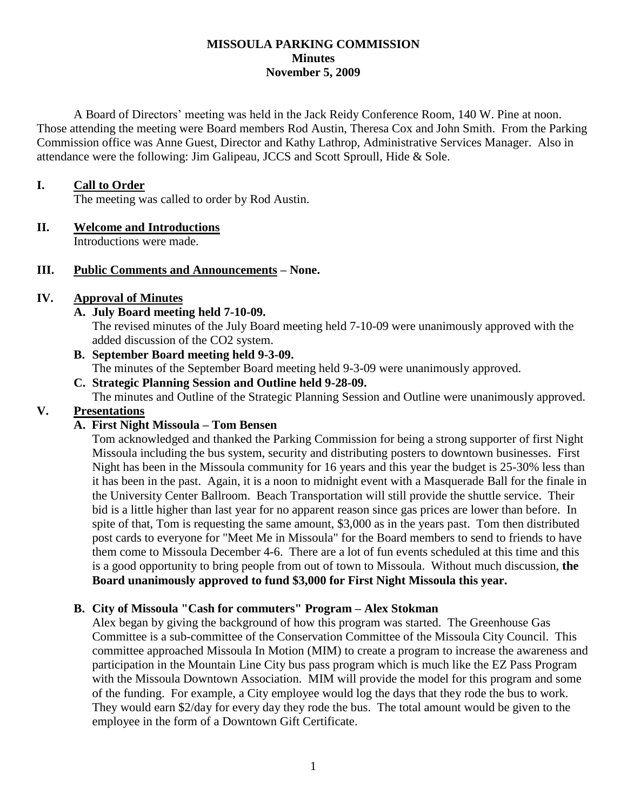#### **MISSOULA PARKING COMMISSION Minutes November 5, 2009**

A Board of Directors' meeting was held in the Jack Reidy Conference Room, 140 W. Pine at noon. Those attending the meeting were Board members Rod Austin, Theresa Cox and John Smith. From the Parking Commission office was Anne Guest, Director and Kathy Lathrop, Administrative Services Manager. Also in attendance were the following: Jim Galipeau, JCCS and Scott Sproull, Hide & Sole.

### **I. Call to Order**

The meeting was called to order by Rod Austin.

### **II. Welcome and Introductions**

Introductions were made.

### **III. Public Comments and Announcements – None.**

### **IV. Approval of Minutes**

**A. July Board meeting held 7-10-09.**

The revised minutes of the July Board meeting held 7-10-09 were unanimously approved with the added discussion of the CO2 system.

- **B. September Board meeting held 9-3-09.** The minutes of the September Board meeting held 9-3-09 were unanimously approved.
- **C. Strategic Planning Session and Outline held 9-28-09.** The minutes and Outline of the Strategic Planning Session and Outline were unanimously approved.

# **V. Presentations**

# **A. First Night Missoula – Tom Bensen**

Tom acknowledged and thanked the Parking Commission for being a strong supporter of first Night Missoula including the bus system, security and distributing posters to downtown businesses. First Night has been in the Missoula community for 16 years and this year the budget is 25-30% less than it has been in the past. Again, it is a noon to midnight event with a Masquerade Ball for the finale in the University Center Ballroom. Beach Transportation will still provide the shuttle service. Their bid is a little higher than last year for no apparent reason since gas prices are lower than before. In spite of that, Tom is requesting the same amount, \$3,000 as in the years past. Tom then distributed post cards to everyone for "Meet Me in Missoula" for the Board members to send to friends to have them come to Missoula December 4-6. There are a lot of fun events scheduled at this time and this is a good opportunity to bring people from out of town to Missoula. Without much discussion, **the Board unanimously approved to fund \$3,000 for First Night Missoula this year.**

#### **B. City of Missoula "Cash for commuters" Program – Alex Stokman**

Alex began by giving the background of how this program was started. The Greenhouse Gas Committee is a sub-committee of the Conservation Committee of the Missoula City Council. This committee approached Missoula In Motion (MIM) to create a program to increase the awareness and participation in the Mountain Line City bus pass program which is much like the EZ Pass Program with the Missoula Downtown Association. MIM will provide the model for this program and some of the funding. For example, a City employee would log the days that they rode the bus to work. They would earn \$2/day for every day they rode the bus. The total amount would be given to the employee in the form of a Downtown Gift Certificate.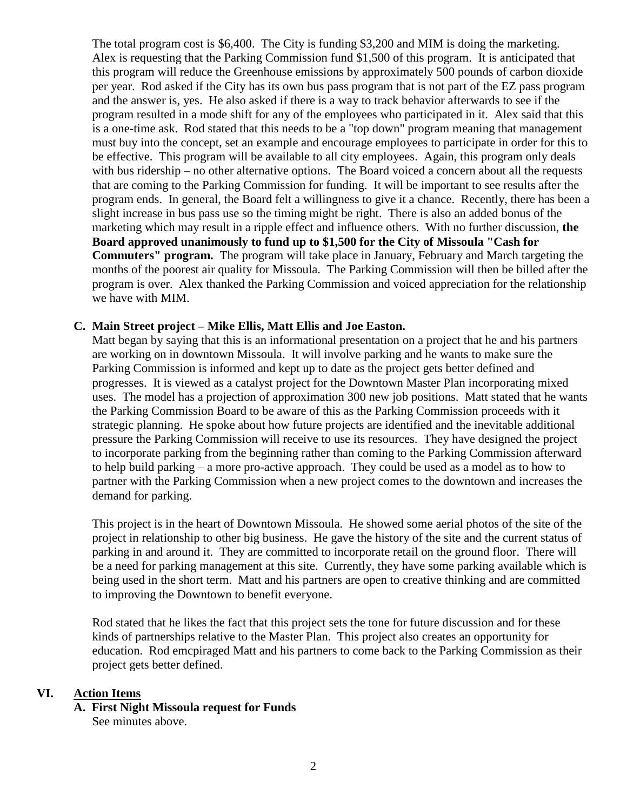The total program cost is \$6,400. The City is funding \$3,200 and MIM is doing the marketing. Alex is requesting that the Parking Commission fund \$1,500 of this program. It is anticipated that this program will reduce the Greenhouse emissions by approximately 500 pounds of carbon dioxide per year. Rod asked if the City has its own bus pass program that is not part of the EZ pass program and the answer is, yes. He also asked if there is a way to track behavior afterwards to see if the program resulted in a mode shift for any of the employees who participated in it. Alex said that this is a one-time ask. Rod stated that this needs to be a "top down" program meaning that management must buy into the concept, set an example and encourage employees to participate in order for this to be effective. This program will be available to all city employees. Again, this program only deals with bus ridership – no other alternative options. The Board voiced a concern about all the requests that are coming to the Parking Commission for funding. It will be important to see results after the program ends. In general, the Board felt a willingness to give it a chance. Recently, there has been a slight increase in bus pass use so the timing might be right. There is also an added bonus of the marketing which may result in a ripple effect and influence others. With no further discussion, **the Board approved unanimously to fund up to \$1,500 for the City of Missoula "Cash for Commuters" program.** The program will take place in January, February and March targeting the months of the poorest air quality for Missoula. The Parking Commission will then be billed after the program is over. Alex thanked the Parking Commission and voiced appreciation for the relationship we have with MIM.

### **C. Main Street project – Mike Ellis, Matt Ellis and Joe Easton.**

Matt began by saying that this is an informational presentation on a project that he and his partners are working on in downtown Missoula. It will involve parking and he wants to make sure the Parking Commission is informed and kept up to date as the project gets better defined and progresses. It is viewed as a catalyst project for the Downtown Master Plan incorporating mixed uses. The model has a projection of approximation 300 new job positions. Matt stated that he wants the Parking Commission Board to be aware of this as the Parking Commission proceeds with it strategic planning. He spoke about how future projects are identified and the inevitable additional pressure the Parking Commission will receive to use its resources. They have designed the project to incorporate parking from the beginning rather than coming to the Parking Commission afterward to help build parking – a more pro-active approach. They could be used as a model as to how to partner with the Parking Commission when a new project comes to the downtown and increases the demand for parking.

This project is in the heart of Downtown Missoula. He showed some aerial photos of the site of the project in relationship to other big business. He gave the history of the site and the current status of parking in and around it. They are committed to incorporate retail on the ground floor. There will be a need for parking management at this site. Currently, they have some parking available which is being used in the short term. Matt and his partners are open to creative thinking and are committed to improving the Downtown to benefit everyone.

Rod stated that he likes the fact that this project sets the tone for future discussion and for these kinds of partnerships relative to the Master Plan. This project also creates an opportunity for education. Rod emcpiraged Matt and his partners to come back to the Parking Commission as their project gets better defined.

#### **VI. Action Items**

**A. First Night Missoula request for Funds** See minutes above.